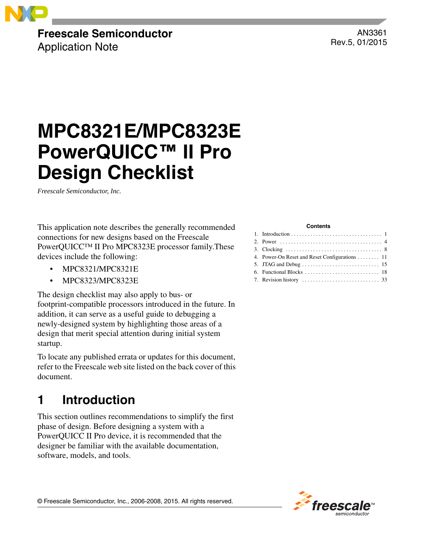

# **Freescale Semiconductor**

Application Note

AN3361 Rev.5, 01/2015

# **MPC8321E/MPC8323E PowerQUICC™ II Pro Design Checklist**

*Freescale Semiconductor, Inc.*

This application note describes the generally recommended connections for new designs based on the Freescale PowerQUICC™ II Pro MPC8323E processor family.These devices include the following:

- MPC8321/MPC8321E
- MPC8323/MPC8323E

The design checklist may also apply to bus- or footprint-compatible processors introduced in the future. In addition, it can serve as a useful guide to debugging a newly-designed system by highlighting those areas of a design that merit special attention during initial system startup.

To locate any published errata or updates for this document, refer to the Freescale web site listed on the back cover of this document.

# <span id="page-0-0"></span>**1 Introduction**

This section outlines recommendations to simplify the first phase of design. Before designing a system with a PowerQUICC II Pro device, it is recommended that the designer be familiar with the available documentation, software, models, and tools.

#### **Contents**

| 4. Power-On Reset and Reset Configurations 11 |
|-----------------------------------------------|
|                                               |
|                                               |
|                                               |



© Freescale Semiconductor, Inc., 2006-2008, 2015. All rights reserved.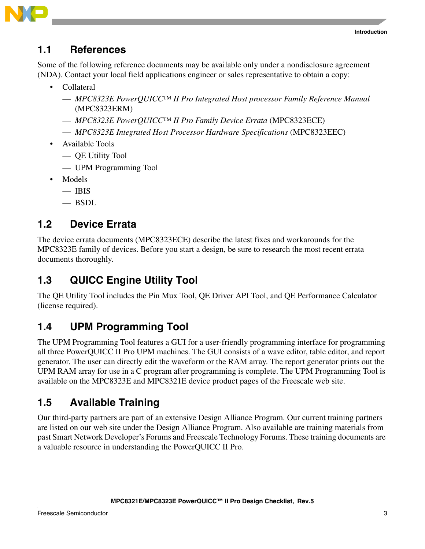



### <span id="page-1-0"></span>**1.1 References**

Some of the following reference documents may be available only under a nondisclosure agreement (NDA). Contact your local field applications engineer or sales representative to obtain a copy:

- Collateral
	- *MPC8323E PowerQUICC™ II Pro Integrated Host processor Family Reference Manual* (MPC8323ERM)
	- *MPC8323E PowerQUICC™ II Pro Family Device Errata* (MPC8323ECE)
	- *MPC8323E Integrated Host Processor Hardware Specifications* (MPC8323EEC)
- Available Tools
	- QE Utility Tool
	- UPM Programming Tool
- Models
	- $-$  IBIS
	- $-$  BSDL

### **1.2 Device Errata**

The device errata documents (MPC8323ECE) describe the latest fixes and workarounds for the MPC8323E family of devices. Before you start a design, be sure to research the most recent errata documents thoroughly.

### **1.3 QUICC Engine Utility Tool**

The QE Utility Tool includes the Pin Mux Tool, QE Driver API Tool, and QE Performance Calculator (license required).

# **1.4 UPM Programming Tool**

The UPM Programming Tool features a GUI for a user-friendly programming interface for programming all three PowerQUICC II Pro UPM machines. The GUI consists of a wave editor, table editor, and report generator. The user can directly edit the waveform or the RAM array. The report generator prints out the UPM RAM array for use in a C program after programming is complete. The UPM Programming Tool is available on the MPC8323E and MPC8321E device product pages of the Freescale web site.

# **1.5 Available Training**

Our third-party partners are part of an extensive Design Alliance Program. Our current training partners are listed on our web site under the Design Alliance Program. Also available are training materials from past Smart Network Developer's Forums and Freescale Technology Forums. These training documents are a valuable resource in understanding the PowerQUICC II Pro.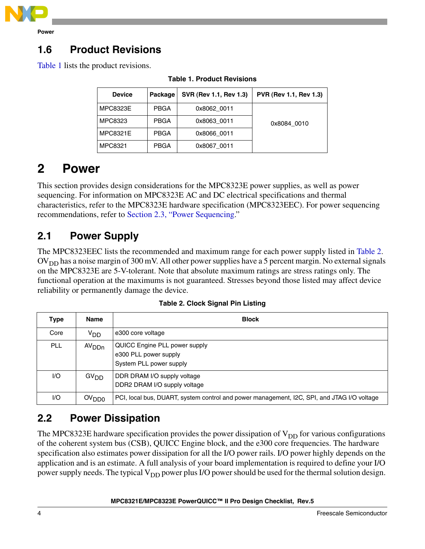

**Power**

## **1.6 Product Revisions**

<span id="page-2-2"></span>[Table 1](#page-2-2) lists the product revisions.

| <b>Device</b>   | Package     | SVR (Rev 1.1, Rev 1.3) | PVR (Rev 1.1, Rev 1.3) |
|-----------------|-------------|------------------------|------------------------|
| <b>MPC8323E</b> | <b>PBGA</b> | 0x8062 0011            |                        |
| MPC8323         | <b>PBGA</b> | 0x8063 0011            | 0x8084 0010            |
| <b>MPC8321E</b> | <b>PBGA</b> | 0x8066 0011            |                        |
| MPC8321         | <b>PBGA</b> | 0x8067 0011            |                        |

**Table 1. Product Revisions**

# <span id="page-2-0"></span>**2 Power**

This section provides design considerations for the MPC8323E power supplies, as well as power sequencing. For information on MPC8323E AC and DC electrical specifications and thermal characteristics, refer to the MPC8323E hardware specification (MPC8323EEC). For power sequencing recommendations, refer to [Section 2.3, "Power Sequencing.](#page-3-0)"

# **2.1 Power Supply**

The MPC8323EEC lists the recommended and maximum range for each power supply listed in [Table 2](#page-2-1).  $\rm{OV}_{DD}$  has a noise margin of 300 mV. All other power supplies have a 5 percent margin. No external signals on the MPC8323E are 5-V-tolerant. Note that absolute maximum ratings are stress ratings only. The functional operation at the maximums is not guaranteed. Stresses beyond those listed may affect device reliability or permanently damage the device.

<span id="page-2-1"></span>

| <b>Type</b> | <b>Name</b>       | <b>Block</b>                                                                               |
|-------------|-------------------|--------------------------------------------------------------------------------------------|
| Core        | V <sub>DD</sub>   | e300 core voltage                                                                          |
| <b>PLL</b>  | AV <sub>DDn</sub> | QUICC Engine PLL power supply<br>e300 PLL power supply<br>System PLL power supply          |
| 1/O         | GV <sub>DD</sub>  | DDR DRAM I/O supply voltage<br>DDR2 DRAM I/O supply voltage                                |
| 1/O         | OV <sub>DD0</sub> | PCI, local bus, DUART, system control and power management, I2C, SPI, and JTAG I/O voltage |

|  |  | Table 2. Clock Signal Pin Listing |
|--|--|-----------------------------------|
|  |  |                                   |

# **2.2 Power Dissipation**

The MPC8323E hardware specification provides the power dissipation of  $V_{DD}$  for various configurations of the coherent system bus (CSB), QUICC Engine block, and the e300 core frequencies. The hardware specification also estimates power dissipation for all the I/O power rails. I/O power highly depends on the application and is an estimate. A full analysis of your board implementation is required to define your I/O power supply needs. The typical  $V_{DD}$  power plus I/O power should be used for the thermal solution design.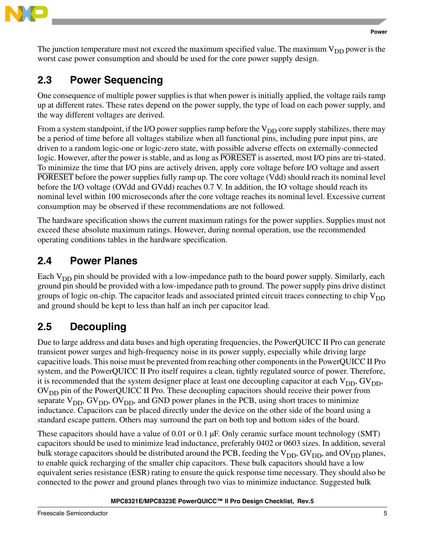

The junction temperature must not exceed the maximum specified value. The maximum  $V_{DD}$  power is the worst case power consumption and should be used for the core power supply design.

# <span id="page-3-0"></span>**2.3 Power Sequencing**

One consequence of multiple power supplies is that when power is initially applied, the voltage rails ramp up at different rates. These rates depend on the power supply, the type of load on each power supply, and the way different voltages are derived.

From a system standpoint, if the I/O power supplies ramp before the  $V_{DD}$  core supply stabilizes, there may be a period of time before all voltages stabilize when all functional pins, including pure input pins, are driven to a random logic-one or logic-zero state, with possible adverse effects on externally-connected logic. However, after the power is stable, and as long as PORESET is asserted, most I/O pins are tri-stated. To minimize the time that I/O pins are actively driven, apply core voltage before I/O voltage and assert PORESET before the power supplies fully ramp up. The core voltage (Vdd) should reach its nominal level before the I/O voltage (OVdd and GVdd) reaches 0.7 V. In addition, the IO voltage should reach its nominal level within 100 microseconds after the core voltage reaches its nominal level. Excessive current consumption may be observed if these recommendations are not followed.

The hardware specification shows the current maximum ratings for the power supplies. Supplies must not exceed these absolute maximum ratings. However, during normal operation, use the recommended operating conditions tables in the hardware specification.

### **2.4 Power Planes**

Each V<sub>DD</sub> pin should be provided with a low-impedance path to the board power supply. Similarly, each ground pin should be provided with a low-impedance path to ground. The power supply pins drive distinct groups of logic on-chip. The capacitor leads and associated printed circuit traces connecting to chip  $V_{DD}$ and ground should be kept to less than half an inch per capacitor lead.

# **2.5 Decoupling**

Due to large address and data buses and high operating frequencies, the PowerQUICC II Pro can generate transient power surges and high-frequency noise in its power supply, especially while driving large capacitive loads. This noise must be prevented from reaching other components in the PowerQUICC II Pro system, and the PowerQUICC II Pro itself requires a clean, tightly regulated source of power. Therefore, it is recommended that the system designer place at least one decoupling capacitor at each  $V_{DD}$ ,  $GV_{DD}$ , OV<sub>DD</sub> pin of the PowerQUICC II Pro. These decoupling capacitors should receive their power from separate  $V_{DD}$ ,  $GV_{DD}$ ,  $OV_{DD}$ , and GND power planes in the PCB, using short traces to minimize inductance. Capacitors can be placed directly under the device on the other side of the board using a standard escape pattern. Others may surround the part on both top and bottom sides of the board.

These capacitors should have a value of 0.01 or 0.1  $\mu$ F. Only ceramic surface mount technology (SMT) capacitors should be used to minimize lead inductance, preferably 0402 or 0603 sizes. In addition, several bulk storage capacitors should be distributed around the PCB, feeding the  $V_{DD}$ , GV<sub>DD</sub>, and OV<sub>DD</sub> planes, to enable quick recharging of the smaller chip capacitors. These bulk capacitors should have a low equivalent series resistance (ESR) rating to ensure the quick response time necessary. They should also be connected to the power and ground planes through two vias to minimize inductance. Suggested bulk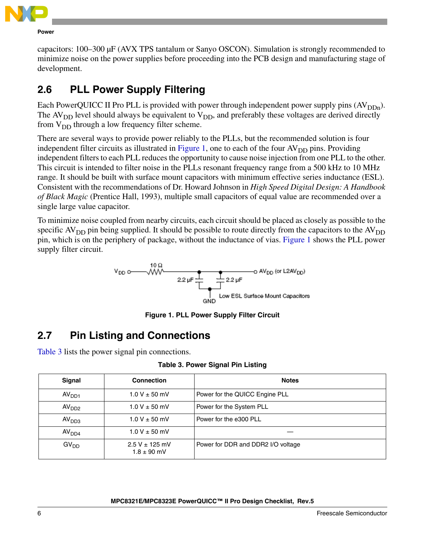

**Power**

capacitors: 100–300 µF (AVX TPS tantalum or Sanyo OSCON). Simulation is strongly recommended to minimize noise on the power supplies before proceeding into the PCB design and manufacturing stage of development.

## **2.6 PLL Power Supply Filtering**

Each PowerQUICC II Pro PLL is provided with power through independent power supply pins  $(AV_{DDn})$ . The  $AV<sub>DD</sub>$  level should always be equivalent to  $V<sub>DD</sub>$ , and preferably these voltages are derived directly from  $V_{DD}$  through a low frequency filter scheme.

There are several ways to provide power reliably to the PLLs, but the recommended solution is four independent filter circuits as illustrated in [Figure 1,](#page-4-0) one to each of the four  $AV<sub>DD</sub>$  pins. Providing independent filters to each PLL reduces the opportunity to cause noise injection from one PLL to the other. This circuit is intended to filter noise in the PLLs resonant frequency range from a 500 kHz to 10 MHz range. It should be built with surface mount capacitors with minimum effective series inductance (ESL). Consistent with the recommendations of Dr. Howard Johnson in *High Speed Digital Design: A Handbook of Black Magic* (Prentice Hall, 1993), multiple small capacitors of equal value are recommended over a single large value capacitor.

To minimize noise coupled from nearby circuits, each circuit should be placed as closely as possible to the specific  $AV_{DD}$  pin being supplied. It should be possible to route directly from the capacitors to the  $AV_{DD}$ pin, which is on the periphery of package, without the inductance of vias. [Figure 1](#page-4-0) shows the PLL power supply filter circuit.



**Figure 1. PLL Power Supply Filter Circuit**

# <span id="page-4-0"></span>**2.7 Pin Listing and Connections**

[Table 3](#page-4-1) lists the power signal pin connections.

### **Table 3. Power Signal Pin Listing**

<span id="page-4-1"></span>

| Signal            | <b>Connection</b>                     | <b>Notes</b>                       |
|-------------------|---------------------------------------|------------------------------------|
| AV <sub>DD1</sub> | $1.0 V \pm 50$ mV                     | Power for the QUICC Engine PLL     |
| AV <sub>DD2</sub> | $1.0 V \pm 50$ mV                     | Power for the System PLL           |
| AV <sub>DD3</sub> | $1.0 V \pm 50$ mV                     | Power for the e300 PLL             |
| AV <sub>DD4</sub> | $1.0 V \pm 50$ mV                     |                                    |
| GV <sub>DD</sub>  | $2.5 V \pm 125$ mV<br>$1.8 \pm 90$ mV | Power for DDR and DDR2 I/O voltage |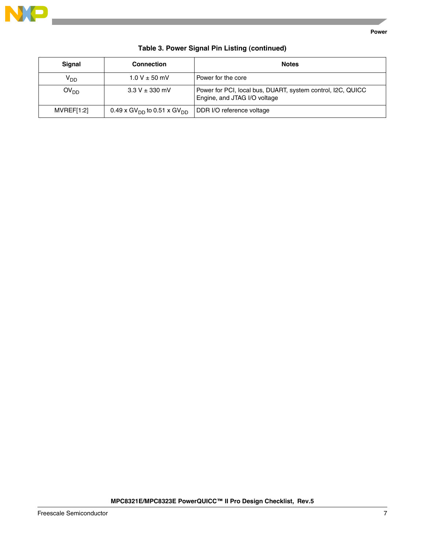

| Signal           | <b>Connection</b>                                  | <b>Notes</b>                                                                                |
|------------------|----------------------------------------------------|---------------------------------------------------------------------------------------------|
| $V_{DD}$         | $1.0 V \pm 50$ mV                                  | Power for the core                                                                          |
| OV <sub>DD</sub> | $3.3 V \pm 330$ mV                                 | Power for PCI, local bus, DUART, system control, I2C, QUICC<br>Engine, and JTAG I/O voltage |
| MVREF[1:2]       | 0.49 x GV <sub>DD</sub> to 0.51 x GV <sub>DD</sub> | DDR I/O reference voltage                                                                   |

### **Table 3. Power Signal Pin Listing (continued)**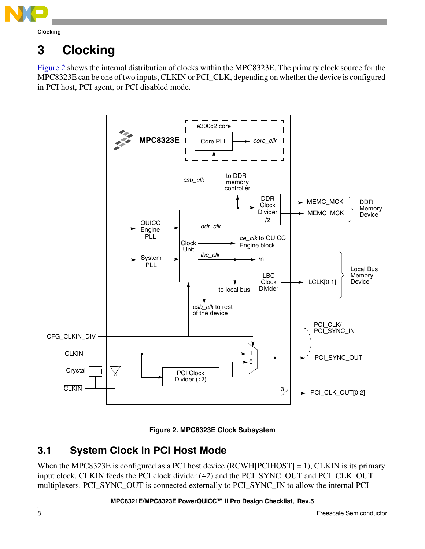

# <span id="page-6-0"></span>**3 Clocking**

[Figure 2](#page-6-1) shows the internal distribution of clocks within the MPC8323E. The primary clock source for the MPC8323E can be one of two inputs, CLKIN or PCI\_CLK, depending on whether the device is configured in PCI host, PCI agent, or PCI disabled mode.





### <span id="page-6-1"></span>**3.1 System Clock in PCI Host Mode**

When the MPC8323E is configured as a PCI host device (RCWH[PCIHOST] = 1), CLKIN is its primary input clock. CLKIN feeds the PCI clock divider (÷2) and the PCI\_SYNC\_OUT and PCI\_CLK\_OUT multiplexers. PCI\_SYNC\_OUT is connected externally to PCI\_SYNC\_IN to allow the internal PCI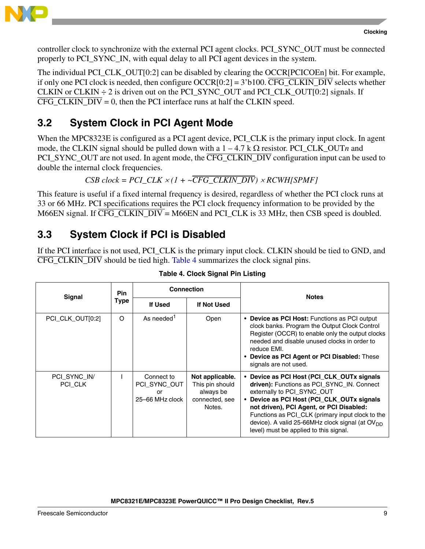

controller clock to synchronize with the external PCI agent clocks. PCI\_SYNC\_OUT must be connected properly to PCI\_SYNC\_IN, with equal delay to all PCI agent devices in the system.

The individual PCI CLK OUT[0:2] can be disabled by clearing the OCCR[PCICOEn] bit. For example, if only one PCI clock is needed, then configure  $OCCR[0:2] = 3'b100$ .  $\overline{CFG\_CLKIN\_DIV}$  selects whether CLKIN or CLKIN  $\div$  2 is driven out on the PCI\_SYNC\_OUT and PCI\_CLK\_OUT[0:2] signals. If CFG CLKIN  $\overline{DIV} = 0$ , then the PCI interface runs at half the CLKIN speed.

# **3.2 System Clock in PCI Agent Mode**

When the MPC8323E is configured as a PCI agent device, PCI CLK is the primary input clock. In agent mode, the CLKIN signal should be pulled down with a  $1 - 4.7 \text{ k }\Omega$  resistor. PCI\_CLK\_OUTn and PCI\_SYNC\_OUT are not used. In agent mode, the CFG\_CLKIN\_DIV configuration input can be used to double the internal clock frequencies.

 $CSB \, clock = PCI \, CLK \times (1 + \sim \overline{CFG \, CLKIN \, DIV}) \times RCWH(SPMF)$ 

This feature is useful if a fixed internal frequency is desired, regardless of whether the PCI clock runs at 33 or 66 MHz. PCI specifications requires the PCI clock frequency information to be provided by the M66EN signal. If  $\overline{\text{CFG}\_\text{CLKIN}\_\text{DIV}}$  = M66EN and PCI $\_\text{CLK}$  is 33 MHz, then CSB speed is doubled.

### <span id="page-7-1"></span>**3.3 System Clock if PCI is Disabled**

If the PCI interface is not used, PCI\_CLK is the primary input clock. CLKIN should be tied to GND, and CFG\_CLKIN\_DIV should be tied high. [Table 4](#page-7-0) summarizes the clock signal pins.

<span id="page-7-0"></span>

| <b>Signal</b>           | <b>Pin</b> | <b>Connection</b>                                   |                                                                             | <b>Notes</b>                                                                                                                                                                                                                                                                                                                                                                  |
|-------------------------|------------|-----------------------------------------------------|-----------------------------------------------------------------------------|-------------------------------------------------------------------------------------------------------------------------------------------------------------------------------------------------------------------------------------------------------------------------------------------------------------------------------------------------------------------------------|
| <b>Type</b>             |            | If Used                                             | If Not Used                                                                 |                                                                                                                                                                                                                                                                                                                                                                               |
| PCI CLK OUT[0:2]        | $\Omega$   | As needed <sup>1</sup>                              | Open                                                                        | • Device as PCI Host: Functions as PCI output<br>clock banks. Program the Output Clock Control<br>Register (OCCR) to enable only the output clocks<br>needed and disable unused clocks in order to<br>reduce EMI.<br>• Device as PCI Agent or PCI Disabled: These<br>signals are not used.                                                                                    |
| PCI SYNC IN/<br>PCI CLK |            | Connect to<br>PCI SYNC OUT<br>or<br>25-66 MHz clock | Not applicable.<br>This pin should<br>always be<br>connected, see<br>Notes. | • Device as PCI Host (PCI_CLK_OUTx signals<br>driven): Functions as PCI SYNC IN. Connect<br>externally to PCI SYNC OUT<br>• Device as PCI Host (PCI_CLK_OUTx signals<br>not driven), PCI Agent, or PCI Disabled:<br>Functions as PCI_CLK (primary input clock to the<br>device). A valid 25-66MHz clock signal (at OV <sub>DD</sub><br>level) must be applied to this signal. |

### **Table 4. Clock Signal Pin Listing**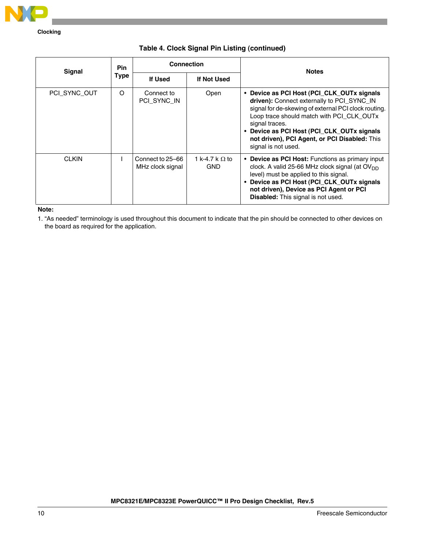

**Clocking**

#### **Table 4. Clock Signal Pin Listing (continued)**

| <b>Signal</b> | <b>Pin</b>  | <b>Connection</b>                    |                                     | <b>Notes</b>                                                                                                                                                                                                                                                                                                                          |
|---------------|-------------|--------------------------------------|-------------------------------------|---------------------------------------------------------------------------------------------------------------------------------------------------------------------------------------------------------------------------------------------------------------------------------------------------------------------------------------|
|               | <b>Type</b> | If Used                              | If Not Used                         |                                                                                                                                                                                                                                                                                                                                       |
| PCI SYNC OUT  | O           | Connect to<br>PCI SYNC IN            | Open                                | • Device as PCI Host (PCI_CLK_OUTx signals<br>driven): Connect externally to PCI SYNC IN<br>signal for de-skewing of external PCI clock routing.<br>Loop trace should match with PCI_CLK_OUTx<br>signal traces.<br>• Device as PCI Host (PCI_CLK_OUTx signals<br>not driven), PCI Agent, or PCI Disabled: This<br>signal is not used. |
| <b>CLKIN</b>  |             | Connect to 25–66<br>MHz clock signal | 1 k-4.7 k $\Omega$ to<br><b>GND</b> | • Device as PCI Host: Functions as primary input<br>clock. A valid 25-66 MHz clock signal (at OV <sub>DD</sub><br>level) must be applied to this signal.<br>• Device as PCI Host (PCI_CLK_OUTx signals<br>not driven), Device as PCI Agent or PCI<br>Disabled: This signal is not used.                                               |

#### **Note:**

1. "As needed" terminology is used throughout this document to indicate that the pin should be connected to other devices on the board as required for the application.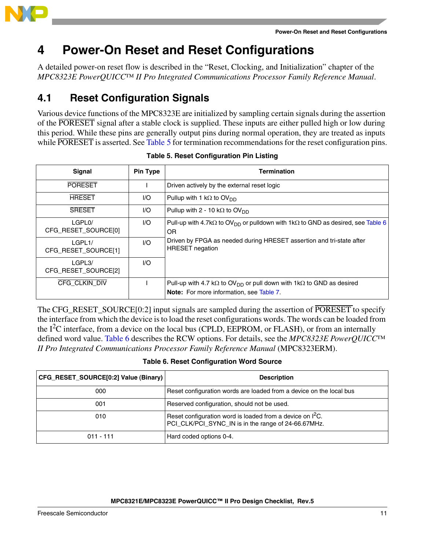

# <span id="page-9-0"></span>**4 Power-On Reset and Reset Configurations**

A detailed power-on reset flow is described in the "Reset, Clocking, and Initialization" chapter of the *MPC8323E PowerQUICC™ II Pro Integrated Communications Processor Family Reference Manual*.

### **4.1 Reset Configuration Signals**

Various device functions of the MPC8323E are initialized by sampling certain signals during the assertion of the PORESET signal after a stable clock is supplied. These inputs are either pulled high or low during this period. While these pins are generally output pins during normal operation, they are treated as inputs while PORESET is asserted. See [Table 5](#page-9-1) for termination recommendations for the reset configuration pins.

<span id="page-9-1"></span>

| Signal                                     | Pin Type | <b>Termination</b>                                                                                                                          |
|--------------------------------------------|----------|---------------------------------------------------------------------------------------------------------------------------------------------|
| <b>PORESET</b>                             |          | Driven actively by the external reset logic                                                                                                 |
| <b>HRESET</b>                              | 1/O      | Pullup with 1 k $\Omega$ to OV <sub>DD</sub>                                                                                                |
| <b>SRESET</b>                              | 1/O      | Pullup with 2 - 10 k $\Omega$ to OV <sub>DD</sub>                                                                                           |
| LGPL <sub>0</sub> /<br>CFG_RESET_SOURCE[0] | I/O      | Pull-up with 4.7k $\Omega$ to OV <sub>DD</sub> or pulldown with 1k $\Omega$ to GND as desired, see Table 6<br>OR                            |
| LGPL1/<br>CFG_RESET_SOURCE[1]              | 1/O      | Driven by FPGA as needed during HRESET assertion and tri-state after<br><b>HRESET</b> negation                                              |
| LGPL3/<br>CFG_RESET_SOURCE[2]              | 1/O      |                                                                                                                                             |
| CFG CLKIN DIV                              |          | Pull-up with 4.7 k $\Omega$ to OV <sub>DD</sub> or pull down with 1k $\Omega$ to GND as desired<br>Note: For more information, see Table 7. |

**Table 5. Reset Configuration Pin Listing**

The CFG\_RESET\_SOURCE[0:2] input signals are sampled during the assertion of PORESET to specify the interface from which the device is to load the reset configurations words. The words can be loaded from the  $I<sup>2</sup>C$  interface, from a device on the local bus (CPLD, EEPROM, or FLASH), or from an internally defined word value. [Table 6](#page-9-2) describes the RCW options. For details, see the *MPC8323E PowerQUICC™ II Pro Integrated Communications Processor Family Reference Manual* (MPC8323ERM).

**Table 6. Reset Configuration Word Source**

<span id="page-9-2"></span>

| CFG_RESET_SOURCE[0:2] Value (Binary) | <b>Description</b>                                                                                                      |
|--------------------------------------|-------------------------------------------------------------------------------------------------------------------------|
| 000                                  | Reset configuration words are loaded from a device on the local bus                                                     |
| 001                                  | Reserved configuration, should not be used.                                                                             |
| 010                                  | Reset configuration word is loaded from a device on ${}^{12}C$ .<br>PCI_CLK/PCI_SYNC_IN is in the range of 24-66.67MHz. |
| $011 - 111$                          | Hard coded options 0-4.                                                                                                 |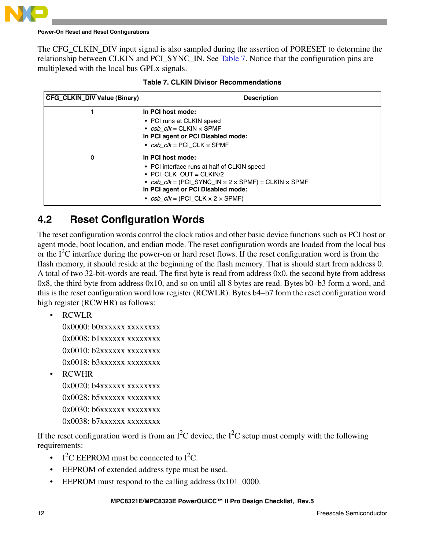

#### **Power-On Reset and Reset Configurations**

The CFG CLKIN DIV input signal is also sampled during the assertion of PORESET to determine the relationship between CLKIN and PCI\_SYNC\_IN. See [Table 7.](#page-10-0) Notice that the configuration pins are multiplexed with the local bus GPLx signals.

<span id="page-10-0"></span>

| <b>CFG_CLKIN_DIV Value (Binary)</b> | <b>Description</b>                                                                                                                                                                                                                                                |
|-------------------------------------|-------------------------------------------------------------------------------------------------------------------------------------------------------------------------------------------------------------------------------------------------------------------|
|                                     | In PCI host mode:<br>• PCI runs at CLKIN speed<br>• $csb$ $clk = CLKIN \times SPMF$<br>In PCI agent or PCI Disabled mode:<br>• $csb$ $clk = PCI$ $CLK \times SPMF$                                                                                                |
| 0                                   | In PCI host mode:<br>• PCI interface runs at half of CLKIN speed<br>• PCI CLK OUT = CLKIN/2<br>• $csb\_clk = (PCI\_SYNC\_IN \times 2 \times SPMF) = CLKIN \times SPMF$<br>In PCI agent or PCI Disabled mode:<br>• $csb$ $clk = (PCI \, CLK \times 2 \times SPMF)$ |

|  |  | <b>Table 7. CLKIN Divisor Recommendations</b> |
|--|--|-----------------------------------------------|
|--|--|-----------------------------------------------|

### **4.2 Reset Configuration Words**

The reset configuration words control the clock ratios and other basic device functions such as PCI host or agent mode, boot location, and endian mode. The reset configuration words are loaded from the local bus or the  $I<sup>2</sup>C$  interface during the power-on or hard reset flows. If the reset configuration word is from the flash memory, it should reside at the beginning of the flash memory. That is should start from address 0. A total of two 32-bit-words are read. The first byte is read from address 0x0, the second byte from address 0x8, the third byte from address 0x10, and so on until all 8 bytes are read. Bytes b0–b3 form a word, and this is the reset configuration word low register (RCWLR). Bytes b4–b7 form the reset configuration word high register (RCWHR) as follows:

• RCWLR

0x0000: b0xxxxxx xxxxxxxx 0x0008: b1xxxxxx xxxxxxxx  $0x0010: b2xxxxxxxxxxxxx$ 0x0018: b3xxxxxx xxxxxxxx

• RCWHR

 $0x0020$ :  $b4xxxxxxxxxxxxxx$ 0x0028: b5xxxxxx xxxxxxxx  $0x0030:$  b6xxxxxx xxxxxxxx 0x0038: b7xxxxxx xxxxxxxx

If the reset configuration word is from an  $I^2C$  device, the  $I^2C$  setup must comply with the following requirements:

- I<sup>2</sup>C EEPROM must be connected to I<sup>2</sup>C.
- EEPROM of extended address type must be used.
- EEPROM must respond to the calling address  $0x101_0000$ .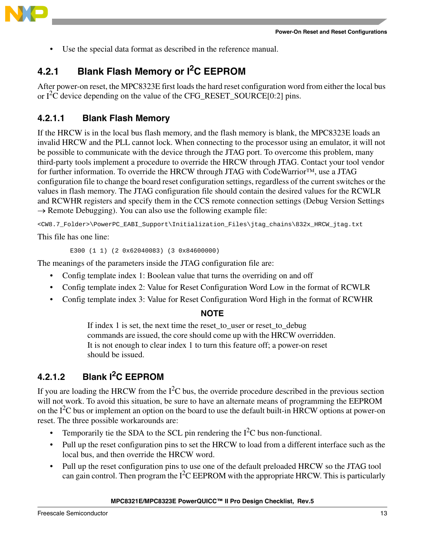

• Use the special data format as described in the reference manual.

### **4.2.1 Blank Flash Memory or I2C EEPROM**

After power-on reset, the MPC8323E first loads the hard reset configuration word from either the local bus or  $I^2C$  device depending on the value of the CFG\_RESET\_SOURCE[0:2] pins.

### **4.2.1.1 Blank Flash Memory**

If the HRCW is in the local bus flash memory, and the flash memory is blank, the MPC8323E loads an invalid HRCW and the PLL cannot lock. When connecting to the processor using an emulator, it will not be possible to communicate with the device through the JTAG port. To overcome this problem, many third-party tools implement a procedure to override the HRCW through JTAG. Contact your tool vendor for further information. To override the HRCW through JTAG with CodeWarrior™, use a JTAG configuration file to change the board reset configuration settings, regardless of the current switches or the values in flash memory. The JTAG configuration file should contain the desired values for the RCWLR and RCWHR registers and specify them in the CCS remote connection settings (Debug Version Settings  $\rightarrow$  Remote Debugging). You can also use the following example file:

<CW8.7\_Folder>\PowerPC\_EABI\_Support\Initialization\_Files\jtag\_chains\832x\_HRCW\_jtag.txt

This file has one line:

E300 (1 1) (2 0x62040083) (3 0x84600000)

The meanings of the parameters inside the JTAG configuration file are:

- Config template index 1: Boolean value that turns the overriding on and off
- Config template index 2: Value for Reset Configuration Word Low in the format of RCWLR
- Config template index 3: Value for Reset Configuration Word High in the format of RCWHR

### **NOTE**

If index 1 is set, the next time the reset\_to\_user or reset\_to\_debug commands are issued, the core should come up with the HRCW overridden. It is not enough to clear index 1 to turn this feature off; a power-on reset should be issued.

### **4.2.1.2 Blank I2C EEPROM**

If you are loading the HRCW from the  $I<sup>2</sup>C$  bus, the override procedure described in the previous section will not work. To avoid this situation, be sure to have an alternate means of programming the EEPROM on the  $I<sup>2</sup>C$  bus or implement an option on the board to use the default built-in HRCW options at power-on reset. The three possible workarounds are:

- Temporarily tie the SDA to the SCL pin rendering the  $I<sup>2</sup>C$  bus non-functional.
- Pull up the reset configuration pins to set the HRCW to load from a different interface such as the local bus, and then override the HRCW word.
- Pull up the reset configuration pins to use one of the default preloaded HRCW so the JTAG tool can gain control. Then program the  $I^2C$  EEPROM with the appropriate HRCW. This is particularly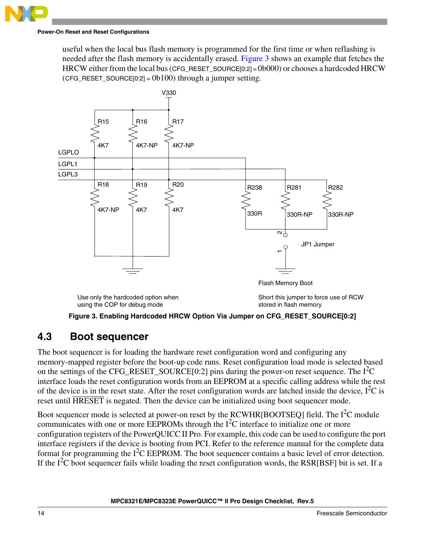#### **Power-On Reset and Reset Configurations**

useful when the local bus flash memory is programmed for the first time or when reflashing is needed after the flash memory is accidentally erased. [Figure 3](#page-12-0) shows an example that fetches the HRCW either from the local bus (CFG\_RESET\_SOURCE[0:2] = 0b000) or chooses a hardcoded HRCW  $(CFG\_RESET_SOWRCE[0:2] = 0b100)$  through a jumper setting.



**Figure 3. Enabling Hardcoded HRCW Option Via Jumper on CFG\_RESET\_SOURCE[0:2]** 

### <span id="page-12-0"></span>**4.3 Boot sequencer**

The boot sequencer is for loading the hardware reset configuration word and configuring any memory-mapped register before the boot-up code runs. Reset configuration load mode is selected based on the settings of the CFG\_RESET\_SOURCE $[0:2]$  pins during the power-on reset sequence. The  $I<sup>2</sup>C$ interface loads the reset configuration words from an EEPROM at a specific calling address while the rest of the device is in the reset state. After the reset configuration words are latched inside the device,  $I^2C$  is reset until HRESET is negated. Then the device can be initialized using boot sequencer mode.

Boot sequencer mode is selected at power-on reset by the RCWHR[BOOTSEQ] field. The  $I<sup>2</sup>C$  module communicates with one or more EEPROMs through the  $I<sup>2</sup>C$  interface to initialize one or more configuration registers of the PowerQUICC II Pro. For example, this code can be used to configure the port interface registers if the device is booting from PCI. Refer to the reference manual for the complete data format for programming the  $I<sup>2</sup>C$  EEPROM. The boot sequencer contains a basic level of error detection. If the  $I^2C$  boot sequencer fails while loading the reset configuration words, the RSR[BSF] bit is set. If a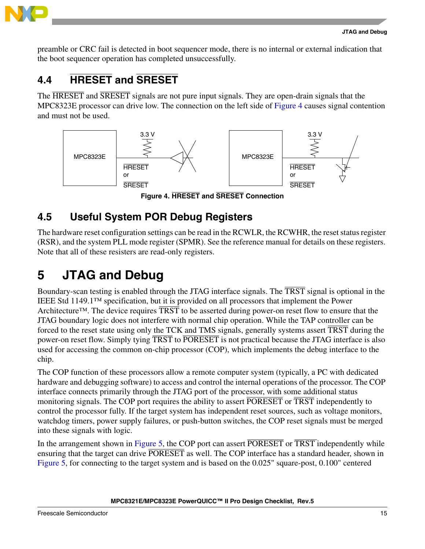

preamble or CRC fail is detected in boot sequencer mode, there is no internal or external indication that the boot sequencer operation has completed unsuccessfully.

# **4.4 HRESET and SRESET**

The HRESET and SRESET signals are not pure input signals. They are open-drain signals that the MPC8323E processor can drive low. The connection on the left side of [Figure 4](#page-13-1) causes signal contention and must not be used.



**Figure 4. HRESET and SRESET Connection**

## <span id="page-13-1"></span>**4.5 Useful System POR Debug Registers**

The hardware reset configuration settings can be read in the RCWLR, the RCWHR, the reset status register (RSR), and the system PLL mode register (SPMR). See the reference manual for details on these registers. Note that all of these resisters are read-only registers.

# <span id="page-13-0"></span>**5 JTAG and Debug**

Boundary-scan testing is enabled through the JTAG interface signals. The TRST signal is optional in the IEEE Std 1149.1™ specification, but it is provided on all processors that implement the Power Architecture<sup>™</sup>. The device requires TRST to be asserted during power-on reset flow to ensure that the JTAG boundary logic does not interfere with normal chip operation. While the TAP controller can be forced to the reset state using only the TCK and TMS signals, generally systems assert TRST during the power-on reset flow. Simply tying TRST to PORESET is not practical because the JTAG interface is also used for accessing the common on-chip processor (COP), which implements the debug interface to the chip.

The COP function of these processors allow a remote computer system (typically, a PC with dedicated hardware and debugging software) to access and control the internal operations of the processor. The COP interface connects primarily through the JTAG port of the processor, with some additional status monitoring signals. The COP port requires the ability to assert PORESET or TRST independently to control the processor fully. If the target system has independent reset sources, such as voltage monitors, watchdog timers, power supply failures, or push-button switches, the COP reset signals must be merged into these signals with logic.

In the arrangement shown in [Figure 5](#page-14-0), the COP port can assert PORESET or TRST independently while ensuring that the target can drive PORESET as well. The COP interface has a standard header, shown in [Figure 5](#page-14-0), for connecting to the target system and is based on the 0.025" square-post, 0.100" centered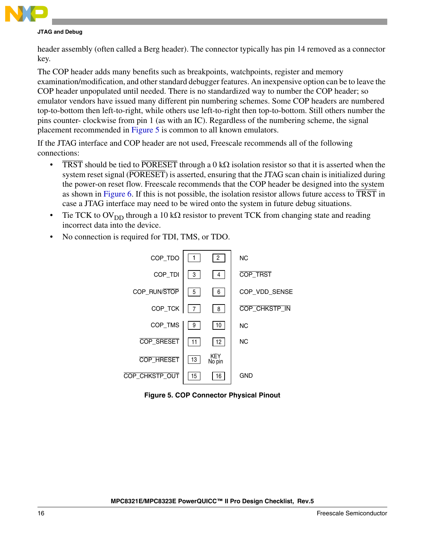

#### **JTAG and Debug**

header assembly (often called a Berg header). The connector typically has pin 14 removed as a connector key.

The COP header adds many benefits such as breakpoints, watchpoints, register and memory examination/modification, and other standard debugger features. An inexpensive option can be to leave the COP header unpopulated until needed. There is no standardized way to number the COP header; so emulator vendors have issued many different pin numbering schemes. Some COP headers are numbered top-to-bottom then left-to-right, while others use left-to-right then top-to-bottom. Still others number the pins counter- clockwise from pin 1 (as with an IC). Regardless of the numbering scheme, the signal placement recommended in [Figure 5](#page-14-0) is common to all known emulators.

If the JTAG interface and COP header are not used, Freescale recommends all of the following connections:

- TRST should be tied to PORESET through a 0 kQ isolation resistor so that it is asserted when the system reset signal (PORESET) is asserted, ensuring that the JTAG scan chain is initialized during the power-on reset flow. Freescale recommends that the COP header be designed into the system as shown in [Figure 6.](#page-15-0) If this is not possible, the isolation resistor allows future access to  $\overline{\text{TRST}}$  in case a JTAG interface may need to be wired onto the system in future debug situations.
- Tie TCK to  $OV<sub>DD</sub>$  through a 10 k $\Omega$  resistor to prevent TCK from changing state and reading incorrect data into the device.
- No connection is required for TDI, TMS, or TDO.



<span id="page-14-0"></span>**Figure 5. COP Connector Physical Pinout**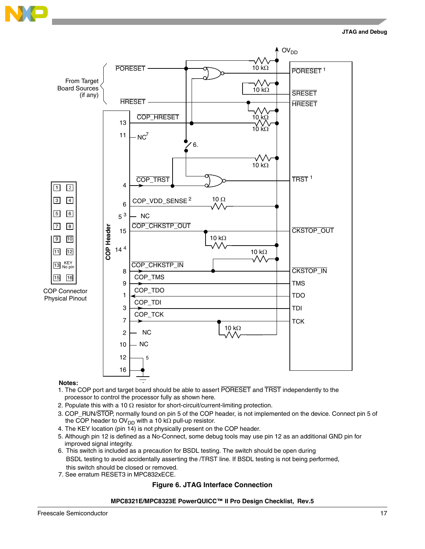

#### **JTAG and Debug**



#### **Notes:**

- processor to control the processor fully as shown here. 1. The COP port and target board should be able to assert PORESET and TRST independently to the
- 2. Populate this with a 10  $\Omega$  resistor for short-circuit/current-limiting protection.
- 3. COP\_RUN/STOP, normally found on pin 5 of the COP header, is not implemented on the device. Connect pin 5 of the COP header to OV<sub>DD</sub> with a 10 k $\Omega$  pull-up resistor.
- 4. The KEY location (pin 14) is not physically present on the COP header.
- 5. Although pin 12 is defined as a No-Connect, some debug tools may use pin 12 as an additional GND pin for improved signal integrity.
- 6. This switch is included as a precaution for BSDL testing. The switch should be open during BSDL testing to avoid accidentally asserting the /TRST line. If BSDL testing is not being performed, this switch should be closed or removed.
- <span id="page-15-0"></span>7. See erratum RESET3 in MPC832xECE.

#### **Figure 6. JTAG Interface Connection**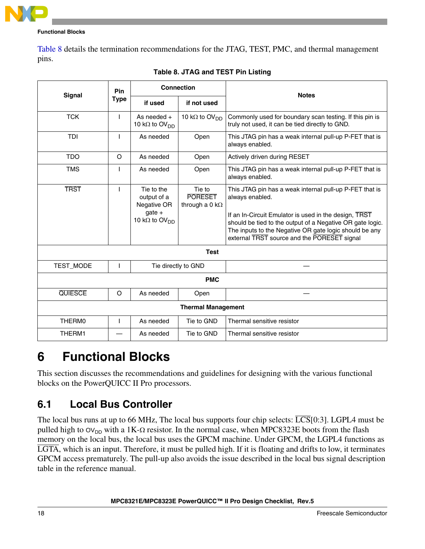

[Table 8](#page-16-1) details the termination recommendations for the JTAG, TEST, PMC, and thermal management pins.

<span id="page-16-1"></span>

| <b>Signal</b>  | <b>Pin</b>                |                                                                                           | <b>Connection</b>                                  | <b>Notes</b>                                                                                                                                                                                                                                                                                              |  |  |  |  |
|----------------|---------------------------|-------------------------------------------------------------------------------------------|----------------------------------------------------|-----------------------------------------------------------------------------------------------------------------------------------------------------------------------------------------------------------------------------------------------------------------------------------------------------------|--|--|--|--|
|                | <b>Type</b>               | if used                                                                                   | if not used                                        |                                                                                                                                                                                                                                                                                                           |  |  |  |  |
| <b>TCK</b>     | ı                         | As needed $+$<br>10 k $\Omega$ to OV <sub>DD</sub>                                        | 10 k $\Omega$ to OV <sub>DD</sub>                  | Commonly used for boundary scan testing. If this pin is<br>truly not used, it can be tied directly to GND.                                                                                                                                                                                                |  |  |  |  |
| <b>TDI</b>     | т                         | As needed                                                                                 | Open                                               | This JTAG pin has a weak internal pull-up P-FET that is<br>always enabled.                                                                                                                                                                                                                                |  |  |  |  |
| <b>TDO</b>     | O                         | As needed                                                                                 | Open                                               | Actively driven during RESET                                                                                                                                                                                                                                                                              |  |  |  |  |
| <b>TMS</b>     | ı                         | As needed                                                                                 | Open                                               | This JTAG pin has a weak internal pull-up P-FET that is<br>always enabled.                                                                                                                                                                                                                                |  |  |  |  |
| <b>TRST</b>    | ı                         | Tie to the<br>output of a<br>Negative OR<br>$gate +$<br>10 k $\Omega$ to OV <sub>DD</sub> | Tie to<br><b>PORESET</b><br>through a 0 k $\Omega$ | This JTAG pin has a weak internal pull-up P-FET that is<br>always enabled.<br>If an In-Circuit Emulator is used in the design, TRST<br>should be tied to the output of a Negative OR gate logic.<br>The inputs to the Negative OR gate logic should be any<br>external TRST source and the PORESET signal |  |  |  |  |
|                |                           |                                                                                           | <b>Test</b>                                        |                                                                                                                                                                                                                                                                                                           |  |  |  |  |
| TEST_MODE      | I                         |                                                                                           | Tie directly to GND                                |                                                                                                                                                                                                                                                                                                           |  |  |  |  |
|                |                           |                                                                                           | <b>PMC</b>                                         |                                                                                                                                                                                                                                                                                                           |  |  |  |  |
| <b>QUIESCE</b> | O                         | As needed                                                                                 | Open                                               |                                                                                                                                                                                                                                                                                                           |  |  |  |  |
|                | <b>Thermal Management</b> |                                                                                           |                                                    |                                                                                                                                                                                                                                                                                                           |  |  |  |  |
| THERM0         | ı                         | As needed                                                                                 | Tie to GND                                         | Thermal sensitive resistor                                                                                                                                                                                                                                                                                |  |  |  |  |
| THERM1         |                           | As needed                                                                                 | Tie to GND                                         | Thermal sensitive resistor                                                                                                                                                                                                                                                                                |  |  |  |  |

|  |  |  | Table 8. JTAG and TEST Pin Listing |
|--|--|--|------------------------------------|
|--|--|--|------------------------------------|

# <span id="page-16-0"></span>**6 Functional Blocks**

This section discusses the recommendations and guidelines for designing with the various functional blocks on the PowerQUICC II Pro processors.

### **6.1 Local Bus Controller**

The local bus runs at up to 66 MHz, The local bus supports four chip selects:  $\overline{LCS}$ [0:3]. LGPL4 must be pulled high to  $O(V_{DD})$  with a 1K- $\Omega$  resistor. In the normal case, when MPC8323E boots from the flash memory on the local bus, the local bus uses the GPCM machine. Under GPCM, the LGPL4 functions as LGTA, which is an input. Therefore, it must be pulled high. If it is floating and drifts to low, it terminates GPCM access prematurely. The pull-up also avoids the issue described in the local bus signal description table in the reference manual.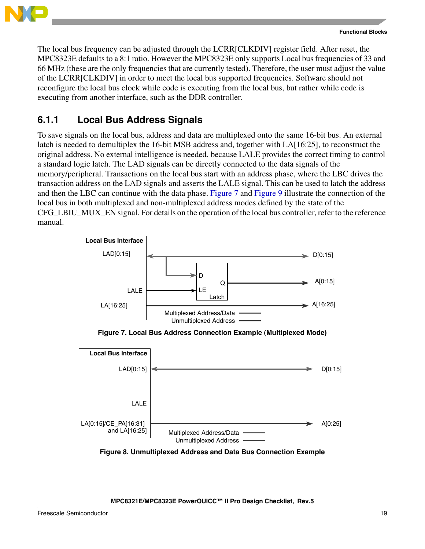

The local bus frequency can be adjusted through the LCRR[CLKDIV] register field. After reset, the MPC8323E defaults to a 8:1 ratio. However the MPC8323E only supports Local bus frequencies of 33 and 66 MHz (these are the only frequencies that are currently tested). Therefore, the user must adjust the value of the LCRR[CLKDIV] in order to meet the local bus supported frequencies. Software should not reconfigure the local bus clock while code is executing from the local bus, but rather while code is executing from another interface, such as the DDR controller.

### **6.1.1 Local Bus Address Signals**

To save signals on the local bus, address and data are multiplexed onto the same 16-bit bus. An external latch is needed to demultiplex the 16-bit MSB address and, together with LA[16:25], to reconstruct the original address. No external intelligence is needed, because LALE provides the correct timing to control a standard logic latch. The LAD signals can be directly connected to the data signals of the memory/peripheral. Transactions on the local bus start with an address phase, where the LBC drives the transaction address on the LAD signals and asserts the LALE signal. This can be used to latch the address and then the LBC can continue with the data phase. [Figure 7](#page-17-0) and [Figure 9](#page-18-0) illustrate the connection of the local bus in both multiplexed and non-multiplexed address modes defined by the state of the CFG\_LBIU\_MUX\_EN signal. For details on the operation of the local bus controller, refer to the reference manual.



**Figure 7. Local Bus Address Connection Example (Multiplexed Mode)**

<span id="page-17-0"></span>

**Figure 8. Unmultiplexed Address and Data Bus Connection Example**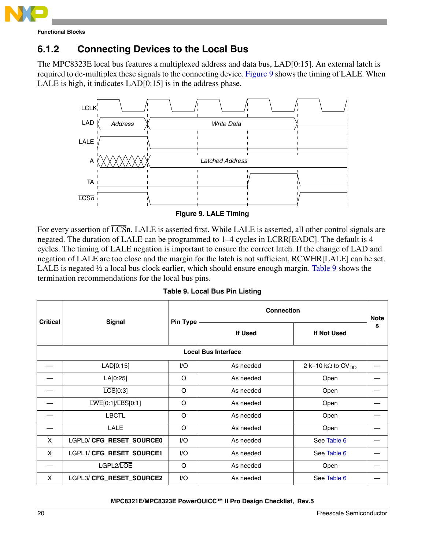

### **6.1.2 Connecting Devices to the Local Bus**

The MPC8323E local bus features a multiplexed address and data bus, LAD[0:15]. An external latch is required to de-multiplex these signals to the connecting device. [Figure 9](#page-18-0) shows the timing of LALE. When LALE is high, it indicates LAD[0:15] is in the address phase.



**Figure 9. LALE Timing**

<span id="page-18-0"></span>For every assertion of  $\overline{\text{LCS}}$ n, LALE is asserted first. While LALE is asserted, all other control signals are negated. The duration of LALE can be programmed to 1–4 cycles in LCRR[EADC]. The default is 4 cycles. The timing of LALE negation is important to ensure the correct latch. If the change of LAD and negation of LALE are too close and the margin for the latch is not sufficient, RCWHR[LALE] can be set. LALE is negated  $\frac{1}{2}$  a local bus clock earlier, which should ensure enough margin. [Table 9](#page-18-1) shows the termination recommendations for the local bus pins.

**Table 9. Local Bus Pin Listing**

<span id="page-18-1"></span>

| <b>Critical</b>            | <b>Signal</b>                                           | <b>Pin Type</b> | <b>Connection</b> |                                       |   |  |  |
|----------------------------|---------------------------------------------------------|-----------------|-------------------|---------------------------------------|---|--|--|
|                            |                                                         |                 | If Used           | If Not Used                           | s |  |  |
| <b>Local Bus Interface</b> |                                                         |                 |                   |                                       |   |  |  |
|                            | LAD[0:15]                                               | 1/O             | As needed         | 2 k-10 k $\Omega$ to OV <sub>DD</sub> |   |  |  |
|                            | LA[0:25]                                                | O               | As needed         | Open                                  |   |  |  |
|                            | $\overline{LCS}$ [0:3]                                  | O               | As needed         | Open                                  |   |  |  |
|                            | $\overline{\text{LWE}}[0:1]/\overline{\text{LBS}}[0:1]$ | O               | As needed         | Open                                  |   |  |  |
|                            | <b>LBCTL</b>                                            | O               | As needed         | Open                                  |   |  |  |
|                            | <b>LALE</b>                                             | O               | As needed         | Open                                  |   |  |  |
| $\boldsymbol{\mathsf{X}}$  | LGPL0/ CFG_RESET_SOURCE0                                | 1/O             | As needed         | See Table 6                           |   |  |  |
| $\boldsymbol{\mathsf{X}}$  | LGPL1/ CFG_RESET_SOURCE1                                | I/O             | As needed         | See Table 6                           |   |  |  |
|                            | LGPL2/LOE                                               | O               | As needed         | Open                                  |   |  |  |
| X                          | LGPL3/ CFG_RESET_SOURCE2                                | 1/O             | As needed         | See Table 6                           |   |  |  |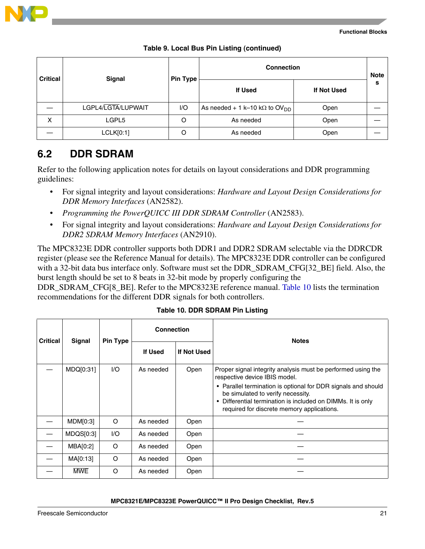

| <b>Critical</b> | Signal             | <b>Pin Type</b> | <b>Connection</b>                                 |                    | <b>Note</b> |
|-----------------|--------------------|-----------------|---------------------------------------------------|--------------------|-------------|
|                 |                    |                 | <b>If Used</b>                                    | <b>If Not Used</b> | s           |
|                 | LGPL4/LGTA/LUPWAIT | I/O             | As needed + 1 k-10 k $\Omega$ to OV <sub>DD</sub> | Open               |             |
| X               | LGPL5              | O               | As needed                                         | Open               |             |
|                 | LCLK[0:1]          |                 | As needed                                         | Open               |             |

### **6.2 DDR SDRAM**

Refer to the following application notes for details on layout considerations and DDR programming guidelines:

- For signal integrity and layout considerations: *Hardware and Layout Design Considerations for DDR Memory Interfaces* (AN2582).
- *Programming the PowerQUICC III DDR SDRAM Controller* (AN2583).
- For signal integrity and layout considerations: *Hardware and Layout Design Considerations for DDR2 SDRAM Memory Interfaces* (AN2910).

The MPC8323E DDR controller supports both DDR1 and DDR2 SDRAM selectable via the DDRCDR register (please see the Reference Manual for details). The MPC8323E DDR controller can be configured with a 32-bit data bus interface only. Software must set the DDR\_SDRAM\_CFG[32\_BE] field. Also, the burst length should be set to 8 beats in 32-bit mode by properly configuring the

DDR\_SDRAM\_CFG[8\_BE]. Refer to the MPC8323E reference manual. [Table 10](#page-19-0) lists the termination recommendations for the different DDR signals for both controllers.

<span id="page-19-0"></span>

| <b>Critical</b><br>Signal |            |                 | <b>Connection</b> |             | <b>Notes</b>                                                                                                                                                                                                                                                                                                                |  |
|---------------------------|------------|-----------------|-------------------|-------------|-----------------------------------------------------------------------------------------------------------------------------------------------------------------------------------------------------------------------------------------------------------------------------------------------------------------------------|--|
|                           |            | <b>Pin Type</b> | If Used           | If Not Used |                                                                                                                                                                                                                                                                                                                             |  |
|                           | MDQ[0:31]  | I/O             | As needed         | Open        | Proper signal integrity analysis must be performed using the<br>respective device IBIS model.<br>• Parallel termination is optional for DDR signals and should<br>be simulated to verify necessity.<br>Differential termination is included on DIMMs. It is only<br>$\bullet$<br>required for discrete memory applications. |  |
|                           | MDM[0:3]   | $\circ$         | As needed         | Open        |                                                                                                                                                                                                                                                                                                                             |  |
|                           | MDQS[0:3]  | 1/O             | As needed         | Open        |                                                                                                                                                                                                                                                                                                                             |  |
|                           | MBA[0:2]   | $\circ$         | As needed         | Open        |                                                                                                                                                                                                                                                                                                                             |  |
|                           | MA[0:13]   | $\circ$         | As needed         | Open        |                                                                                                                                                                                                                                                                                                                             |  |
|                           | <b>MWE</b> | $\Omega$        | As needed         | Open        |                                                                                                                                                                                                                                                                                                                             |  |

#### **Table 10. DDR SDRAM Pin Listing**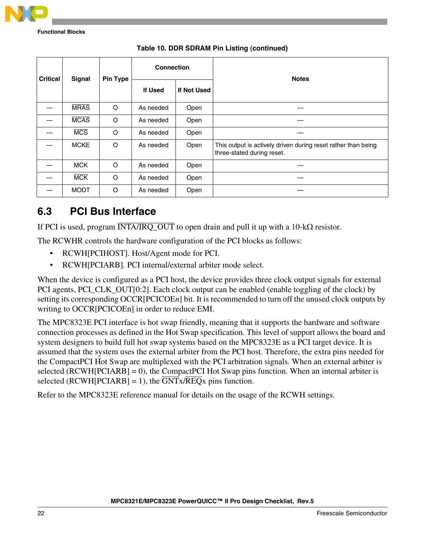

| <b>Signal</b><br><b>Critical</b> |             | <b>Pin Type</b> | <b>Connection</b> |             | <b>Notes</b>                                                                                |
|----------------------------------|-------------|-----------------|-------------------|-------------|---------------------------------------------------------------------------------------------|
|                                  |             |                 | If Used           | If Not Used |                                                                                             |
|                                  | <b>MRAS</b> | O               | As needed         | Open        |                                                                                             |
|                                  | <b>MCAS</b> | O               | As needed         | Open        |                                                                                             |
|                                  | <b>MCS</b>  | O               | As needed         | Open        |                                                                                             |
|                                  | <b>MCKE</b> | $\circ$         | As needed         | Open        | This output is actively driven during reset rather than being<br>three-stated during reset. |
|                                  | <b>MCK</b>  | O               | As needed         | Open        |                                                                                             |
|                                  | <b>MCK</b>  | O               | As needed         | Open        |                                                                                             |
|                                  | <b>MODT</b> | O               | As needed         | Open        |                                                                                             |

#### **Table 10. DDR SDRAM Pin Listing (continued)**

### **6.3 PCI Bus Interface**

If PCI is used, program  $\overline{INTA/IRQ\_OUT}$  to open drain and pull it up with a 10-k $\Omega$  resistor.

The RCWHR controls the hardware configuration of the PCI blocks as follows:

- RCWH[PCIHOST]. Host/Agent mode for PCI.
- RCWH[PCIARB]. PCI internal/external arbiter mode select.

When the device is configured as a PCI host, the device provides three clock output signals for external PCI agents, PCI\_CLK\_OUT[0:2]. Each clock output can be enabled (enable toggling of the clock) by setting its corresponding OCCR[PCICOE*n*] bit. It is recommended to turn off the unused clock outputs by writing to OCCR[PCICOEn] in order to reduce EMI.

The MPC8323E PCI interface is hot swap friendly, meaning that it supports the hardware and software connection processes as defined in the Hot Swap specification. This level of support allows the board and system designers to build full hot swap systems based on the MPC8323E as a PCI target device. It is assumed that the system uses the external arbiter from the PCI host. Therefore, the extra pins needed for the CompactPCI Hot Swap are multiplexed with the PCI arbitration signals. When an external arbiter is selected (RCWH[PCIARB] = 0), the CompactPCI Hot Swap pins function. When an internal arbiter is selected (RCWH[PCIARB] = 1), the  $\overline{GNT}x/\overline{REQ}x$  pins function.

Refer to the MPC8323E reference manual for details on the usage of the RCWH settings.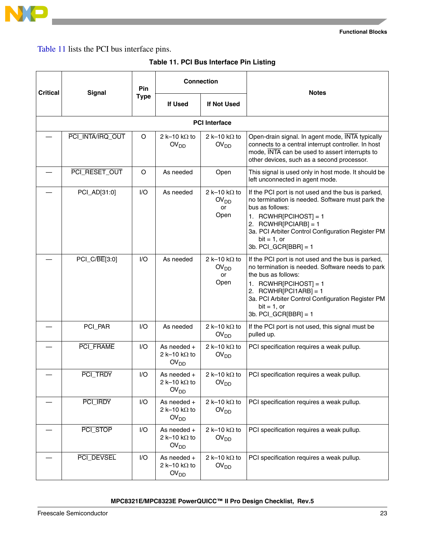

<span id="page-21-0"></span>[Table 11](#page-21-0) lists the PCI bus interface pins.

|  |  | Table 11. PCI Bus Interface Pin Listing |  |  |
|--|--|-----------------------------------------|--|--|
|--|--|-----------------------------------------|--|--|

|  | <b>Critical</b><br><b>Signal</b> |     |                                                           | <b>Connection</b>                                      | <b>Notes</b>                                                                                                                                                                                                                                                                     |  |
|--|----------------------------------|-----|-----------------------------------------------------------|--------------------------------------------------------|----------------------------------------------------------------------------------------------------------------------------------------------------------------------------------------------------------------------------------------------------------------------------------|--|
|  |                                  |     | If Used                                                   | <b>If Not Used</b>                                     |                                                                                                                                                                                                                                                                                  |  |
|  |                                  |     |                                                           | <b>PCI</b> Interface                                   |                                                                                                                                                                                                                                                                                  |  |
|  | PCI_INTA/IRQ_OUT                 | O   | 2 k-10 k $\Omega$ to<br>OV <sub>DD</sub>                  | 2 k-10 k $\Omega$ to<br>OV <sub>DD</sub>               | Open-drain signal. In agent mode, INTA typically<br>connects to a central interrupt controller. In host<br>mode, INTA can be used to assert interrupts to<br>other devices, such as a second processor.                                                                          |  |
|  | PCI_RESET_OUT                    | O   | As needed                                                 | Open                                                   | This signal is used only in host mode. It should be<br>left unconnected in agent mode.                                                                                                                                                                                           |  |
|  | PCI_AD[31:0]                     | I/O | As needed                                                 | 2 k-10 k $\Omega$ to<br>OV <sub>DD</sub><br>or<br>Open | If the PCI port is not used and the bus is parked,<br>no termination is needed. Software must park the<br>bus as follows:<br>1. RCWHR[PCIHOST] = 1<br>2. RCWHR[PCIARB] = 1<br>3a. PCI Arbiter Control Configuration Register PM<br>$bit = 1$ , or<br>3b. $PCI_GCR[BBR] = 1$      |  |
|  | PCI_C/BE[3:0]                    | I/O | As needed                                                 | 2 k-10 k $\Omega$ to<br>OV <sub>DD</sub><br>or<br>Open | If the PCI port is not used and the bus is parked,<br>no termination is needed. Software needs to park<br>the bus as follows:<br>1. RCWHR[PCIHOST] = 1<br>2. RCWHR[PCI1ARB] = 1<br>3a. PCI Arbiter Control Configuration Register PM<br>$bit = 1$ , or<br>3b. $PCI_GCR[BBR] = 1$ |  |
|  | PCI_PAR                          | I/O | As needed                                                 | 2 k-10 k $\Omega$ to<br>OV <sub>DD</sub>               | If the PCI port is not used, this signal must be<br>pulled up.                                                                                                                                                                                                                   |  |
|  | PCI_FRAME                        | $U$ | As needed +<br>2 k-10 k $\Omega$ to<br>OV <sub>DD</sub>   | 2 k-10 k $\Omega$ to<br>OV <sub>DD</sub>               | PCI specification requires a weak pullup.                                                                                                                                                                                                                                        |  |
|  | PCI_TRDY                         | $U$ | As needed $+$<br>2 k-10 k $\Omega$ to<br>OV <sub>DD</sub> | 2 k-10 k $\Omega$ to<br>$\text{OV}_{\text{DD}}$        | PCI specification requires a weak pullup.                                                                                                                                                                                                                                        |  |
|  | PCI_IRDY                         | I/O | As needed $+$<br>2 k-10 k $\Omega$ to<br>OV <sub>DD</sub> | 2 k-10 k $\Omega$ to<br>OV <sub>DD</sub>               | PCI specification requires a weak pullup.                                                                                                                                                                                                                                        |  |
|  | PCI_STOP                         | I/O | As needed +<br>2 k-10 k $\Omega$ to<br>OV <sub>DD</sub>   | 2 k-10 k $\Omega$ to<br>OV <sub>DD</sub>               | PCI specification requires a weak pullup.                                                                                                                                                                                                                                        |  |
|  | PCI_DEVSEL                       | I/O | As needed +<br>2 k-10 k $\Omega$ to<br>OV <sub>DD</sub>   | 2 k-10 k $\Omega$ to<br>OV <sub>DD</sub>               | PCI specification requires a weak pullup.                                                                                                                                                                                                                                        |  |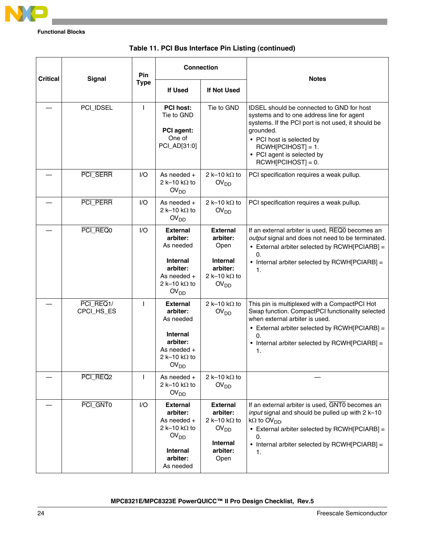

| <b>Critical</b> | <b>Signal</b>           | Pin | <b>Connection</b>                                                                                                                    |                                                                                                                | <b>Notes</b>                                                                                                                                                                                                                                                         |
|-----------------|-------------------------|-----|--------------------------------------------------------------------------------------------------------------------------------------|----------------------------------------------------------------------------------------------------------------|----------------------------------------------------------------------------------------------------------------------------------------------------------------------------------------------------------------------------------------------------------------------|
|                 | <b>Type</b>             |     | <b>If Used</b>                                                                                                                       | <b>If Not Used</b>                                                                                             |                                                                                                                                                                                                                                                                      |
|                 | PCI_IDSEL               | L   | <b>PCI host:</b><br>Tie to GND<br>PCI agent:<br>One of<br>PCI_AD[31:0]                                                               | Tie to GND                                                                                                     | IDSEL should be connected to GND for host<br>systems and to one address line for agent<br>systems. If the PCI port is not used, it should be<br>grounded.<br>• PCI host is selected by<br>$RCWH[PCIHOST] = 1.$<br>• PCI agent is selected by<br>$RCWH[PCIHOST] = 0.$ |
|                 | PCI_SERR                | 1/O | As needed $+$<br>2 k-10 k $\Omega$ to<br>OV <sub>DD</sub>                                                                            | 2 k-10 k $\Omega$ to<br>OV <sub>DD</sub>                                                                       | PCI specification requires a weak pullup.                                                                                                                                                                                                                            |
|                 | PCI_PERR                | 1/O | As needed $+$<br>2 k-10 k $\Omega$ to<br>OV <sub>DD</sub>                                                                            | 2 k-10 k $\Omega$ to<br>OV <sub>DD</sub>                                                                       | PCI specification requires a weak pullup.                                                                                                                                                                                                                            |
|                 | PCI REQ0                | I/O | <b>External</b><br>arbiter:<br>As needed<br><b>Internal</b><br>arbiter:<br>As needed $+$<br>2 k-10 k $\Omega$ to<br>OV <sub>DD</sub> | <b>External</b><br>arbiter:<br>Open<br>Internal<br>arbiter:<br>2 k-10 k $\Omega$ to<br>OV <sub>DD</sub>        | If an external arbiter is used, REQ0 becomes an<br>output signal and does not need to be terminated.<br>• External arbiter selected by RCWH[PCIARB] =<br>$\mathbf{0}$ .<br>• Internal arbiter selected by RCWH[PCIARB] =<br>1.                                       |
|                 | PCI_REQ1/<br>CPCI_HS_ES | I.  | <b>External</b><br>arbiter:<br>As needed<br>Internal<br>arbiter:<br>As needed $+$<br>2 k-10 k $\Omega$ to<br>OV <sub>DD</sub>        | 2 k-10 k $\Omega$ to<br>OV <sub>DD</sub>                                                                       | This pin is multiplexed with a CompactPCI Hot<br>Swap function. CompactPCI functionality selected<br>when external arbiter is used.<br>• External arbiter selected by RCWH[PCIARB] =<br>0.<br>• Internal arbiter selected by RCWH[PCIARB] =<br>1.                    |
|                 | PCI_REQ2                | т   | As needed +<br>2 k-10 k $\Omega$ to<br>OV <sub>DD</sub>                                                                              | 2 k-10 k $\Omega$ to<br>OV <sub>DD</sub>                                                                       |                                                                                                                                                                                                                                                                      |
|                 | PCI_GNT0                | I/O | <b>External</b><br>arbiter:<br>As needed +<br>2 k-10 k $\Omega$ to<br>OV <sub>DD</sub><br>Internal<br>arbiter:<br>As needed          | <b>External</b><br>arbiter:<br>2 k-10 k $\Omega$ to<br>OV <sub>DD</sub><br><b>Internal</b><br>arbiter:<br>Open | If an external arbiter is used, GNT0 becomes an<br>input signal and should be pulled up with 2 k-10<br>$k\Omega$ to OV <sub>DD</sub> .<br>• External arbiter selected by RCWH[PCIARB] =<br>0.<br>• Internal arbiter selected by RCWH[PCIARB] =<br>1.                 |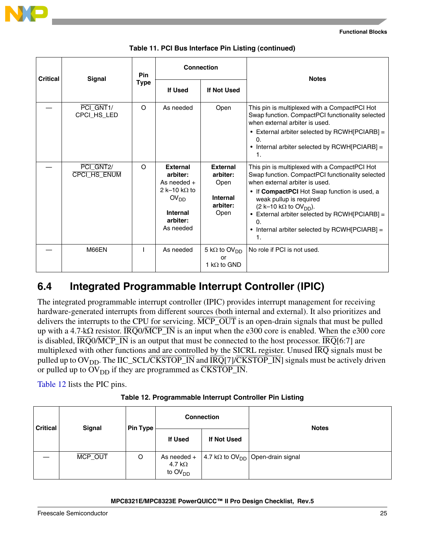

| <b>Critical</b> | Pin                                    |             | <b>Connection</b>                                                                                                             |                                                                            | <b>Notes</b>                                                                                                                                                                                                                                                                                                                                                            |  |
|-----------------|----------------------------------------|-------------|-------------------------------------------------------------------------------------------------------------------------------|----------------------------------------------------------------------------|-------------------------------------------------------------------------------------------------------------------------------------------------------------------------------------------------------------------------------------------------------------------------------------------------------------------------------------------------------------------------|--|
|                 | <b>Signal</b>                          | <b>Type</b> | <b>If Used</b>                                                                                                                | If Not Used                                                                |                                                                                                                                                                                                                                                                                                                                                                         |  |
|                 | PCI_GNT1/<br>CPCI_HS_LED               | $\circ$     | As needed                                                                                                                     | Open                                                                       | This pin is multiplexed with a CompactPCI Hot<br>Swap function. CompactPCI functionality selected<br>when external arbiter is used.<br>• External arbiter selected by RCWH[PCIARB] =<br>$\Omega$ .<br>• Internal arbiter selected by RCWH[PCIARB] =<br>1.                                                                                                               |  |
|                 | PCI GNT <sub>2</sub> /<br>CPCI_HS_ENUM | $\Omega$    | <b>External</b><br>arbiter:<br>As needed $+$<br>2 k-10 k $\Omega$ to<br>OV <sub>DD</sub><br>Internal<br>arbiter:<br>As needed | <b>External</b><br>arbiter:<br>Open<br><b>Internal</b><br>arbiter:<br>Open | This pin is multiplexed with a CompactPCI Hot<br>Swap function. CompactPCI functionality selected<br>when external arbiter is used.<br>• If CompactPCI Hot Swap function is used, a<br>weak pullup is required<br>(2 k-10 k $\Omega$ to OV <sub>DD</sub> ).<br>External arbiter selected by RCWH[PCIARB] =<br>0.<br>• Internal arbiter selected by RCWH[PCIARB] =<br>1. |  |
|                 | M66EN                                  |             | As needed                                                                                                                     | 5 k $\Omega$ to OV <sub>DD</sub><br>or<br>1 k $\Omega$ to GND              | No role if PCI is not used.                                                                                                                                                                                                                                                                                                                                             |  |

|  |  |  |  |  | Table 11. PCI Bus Interface Pin Listing (continued) |
|--|--|--|--|--|-----------------------------------------------------|
|--|--|--|--|--|-----------------------------------------------------|

### **6.4 Integrated Programmable Interrupt Controller (IPIC)**

The integrated programmable interrupt controller (IPIC) provides interrupt management for receiving hardware-generated interrupts from different sources (both internal and external). It also prioritizes and delivers the interrupts to the CPU for servicing. MCP\_OUT is an open-drain signals that must be pulled up with a 4.7-k $\Omega$  resistor. IRQ0/MCP\_IN is an input when the e300 core is enabled. When the e300 core is disabled,  $\overline{IRQ}$   $\overline{MCP}$  IN is an output that must be connected to the host processor.  $\overline{IRQ}$ [6:7] are multiplexed with other functions and are controlled by the SICRL register. Unused  $\overline{IRQ}$  signals must be pulled up to  $OV<sub>DD</sub>$ . The IIC\_SCL/CKSTOP\_IN and  $\overline{IRQ}[7]/\overline{CKSTOP\_IN}$  signals must be actively driven or pulled up to  $\text{OV}_{\text{DD}}$  if they are programmed as  $\overline{\text{CKSTOP\_IN}}$ .

[Table 12](#page-23-0) lists the PIC pins.

| Table 12. Programmable Interrupt Controller Pin Listing |
|---------------------------------------------------------|
|---------------------------------------------------------|

<span id="page-23-0"></span>

| <b>Critical</b> | <b>Signal</b> | <b>Pin Type</b> | <b>Connection</b>                          |             | <b>Notes</b>                                         |  |
|-----------------|---------------|-----------------|--------------------------------------------|-------------|------------------------------------------------------|--|
|                 |               |                 | <b>If Used</b>                             | If Not Used |                                                      |  |
|                 | MCP_OUT       | O               | As needed +<br>4.7 k $\Omega$<br>to $OVDD$ |             | 4.7 k $\Omega$ to OV <sub>DD</sub> Open-drain signal |  |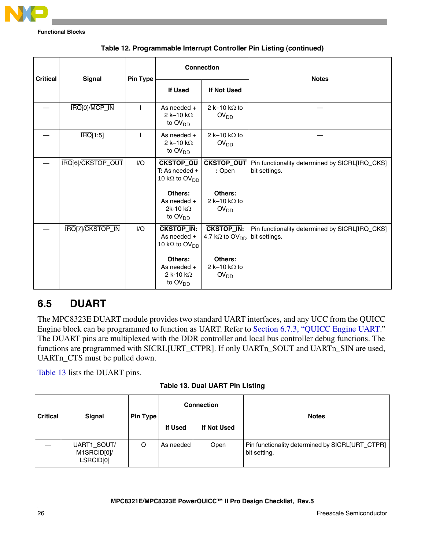

| <b>Critical</b> | <b>Connection</b><br><b>Signal</b> |                          | <b>Notes</b>                                                                                   |                                                                |                                                                 |
|-----------------|------------------------------------|--------------------------|------------------------------------------------------------------------------------------------|----------------------------------------------------------------|-----------------------------------------------------------------|
|                 |                                    | <b>Pin Type</b>          | <b>If Used</b>                                                                                 | <b>If Not Used</b>                                             |                                                                 |
|                 | IRQ[0]/MCP_IN                      | $\overline{\phantom{a}}$ | As needed $+$<br>2 k-10 k $\Omega$<br>to $\text{OV}_{\text{DD}}$                               | 2 k-10 k $\Omega$ to<br>OV <sub>DD</sub>                       |                                                                 |
|                 | $\overline{\text{IRQ}}[1:5]$       | $\overline{\phantom{a}}$ | As needed $+$<br>2 k-10 k $\Omega$<br>to $\text{OV}_{\text{DD}}$                               | 2 k-10 k $\Omega$ to<br>OV <sub>DD</sub>                       |                                                                 |
|                 | IRQ[6]/CKSTOP_OUT                  | I/O                      | <b>CKSTOP_OU</b><br>$\overline{\mathsf{T}}$ : As needed +<br>10 k $\Omega$ to OV <sub>DD</sub> | <b>CKSTOP_OUT</b><br>: Open                                    | Pin functionality determined by SICRL[IRQ_CKS]<br>bit settings. |
|                 |                                    |                          | Others:<br>As needed +<br>2k-10 k $\Omega$<br>to $\text{OV}_{\text{DD}}$                       | Others:<br>2 k-10 k $\Omega$ to<br>OV <sub>DD</sub>            |                                                                 |
|                 | IRQ[7]/CKSTOP_IN                   | I/O                      | <b>CKSTOP_IN:</b><br>As needed +<br>10 k $\Omega$ to OV <sub>DD</sub>                          | <b>CKSTOP_IN:</b><br>4.7 k $\Omega$ to $\text{OV}_{\text{DD}}$ | Pin functionality determined by SICRL[IRQ_CKS]<br>bit settings. |
|                 |                                    |                          | Others:<br>As needed $+$<br>2 k-10 k $\Omega$<br>to $\text{OV}_{\text{DD}}$                    | Others:<br>2 k-10 k $\Omega$ to<br>OV <sub>DD</sub>            |                                                                 |

| Table 12. Programmable Interrupt Controller Pin Listing (continued) |  |  |
|---------------------------------------------------------------------|--|--|
|---------------------------------------------------------------------|--|--|

### <span id="page-24-1"></span>**6.5 DUART**

The MPC8323E DUART module provides two standard UART interfaces, and any UCC from the QUICC Engine block can be programmed to function as UART. Refer to [Section 6.7.3, "QUICC Engine UART.](#page-28-0)" The DUART pins are multiplexed with the DDR controller and local bus controller debug functions. The functions are programmed with SICRL[URT\_CTPR]. If only UARTn\_SOUT and UARTn\_SIN are used, UARTn\_CTS must be pulled down.

[Table 13](#page-24-0) lists the DUART pins.

**Table 13. Dual UART Pin Listing**

<span id="page-24-0"></span>

| <b>Critical</b> | Signal                                  | <b>Pin Type</b> | <b>Connection</b> |             | <b>Notes</b>                                                    |
|-----------------|-----------------------------------------|-----------------|-------------------|-------------|-----------------------------------------------------------------|
|                 |                                         |                 | <b>If Used</b>    | If Not Used |                                                                 |
|                 | UART1_SOUT/<br>M1SRCID[0]/<br>LSRCID[0] | $\circ$         | As needed         | Open        | Pin functionality determined by SICRL[URT_CTPR]<br>bit setting. |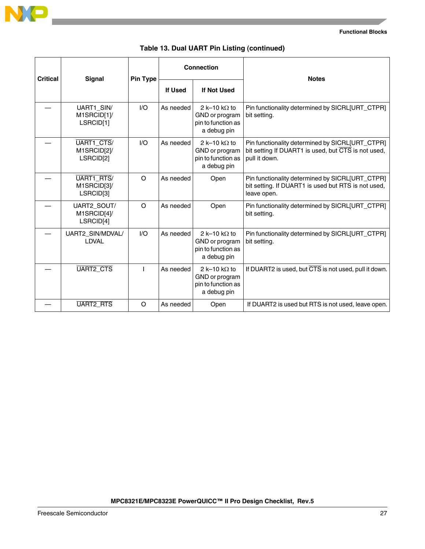

|  |  |  |  |  | Table 13. Dual UART Pin Listing (continued) |
|--|--|--|--|--|---------------------------------------------|
|--|--|--|--|--|---------------------------------------------|

| <b>Critical</b> | <b>Signal</b>                           | <b>Pin Type</b> | <b>Connection</b> |                                                                             | <b>Notes</b>                                                                                                            |
|-----------------|-----------------------------------------|-----------------|-------------------|-----------------------------------------------------------------------------|-------------------------------------------------------------------------------------------------------------------------|
|                 |                                         |                 | If Used           | <b>If Not Used</b>                                                          |                                                                                                                         |
|                 | UART1_SIN/<br>M1SRCID[1]/<br>LSRCID[1]  | 1/O             | As needed         | 2 k-10 k $\Omega$ to<br>GND or program<br>pin to function as<br>a debug pin | Pin functionality determined by SICRL[URT_CTPR]<br>bit setting.                                                         |
|                 | UART1 CTS/<br>M1SRCID[2]/<br>LSRCID[2]  | 1/O             | As needed         | 2 k-10 k $\Omega$ to<br>GND or program<br>pin to function as<br>a debug pin | Pin functionality determined by SICRL[URT_CTPR]<br>bit setting If DUART1 is used, but CTS is not used,<br>pull it down. |
|                 | UART1_RTS/<br>M1SRCID[3]/<br>LSRCID[3]  | $\Omega$        | As needed         | Open                                                                        | Pin functionality determined by SICRL[URT_CTPR]<br>bit setting. If DUART1 is used but RTS is not used,<br>leave open.   |
|                 | UART2_SOUT/<br>M1SRCID[4]/<br>LSRCID[4] | $\Omega$        | As needed         | Open                                                                        | Pin functionality determined by SICRL[URT_CTPR]<br>bit setting.                                                         |
|                 | UART2_SIN/MDVAL/<br>LDVAL               | I/O             | As needed         | 2 k-10 k $\Omega$ to<br>GND or program<br>pin to function as<br>a debug pin | Pin functionality determined by SICRL[URT_CTPR]<br>bit setting.                                                         |
|                 | UART2_CTS                               |                 | As needed         | 2 k-10 k $\Omega$ to<br>GND or program<br>pin to function as<br>a debug pin | If DUART2 is used, but CTS is not used, pull it down.                                                                   |
|                 | <b>UART2 RTS</b>                        | $\circ$         | As needed         | Open                                                                        | If DUART2 is used but RTS is not used, leave open.                                                                      |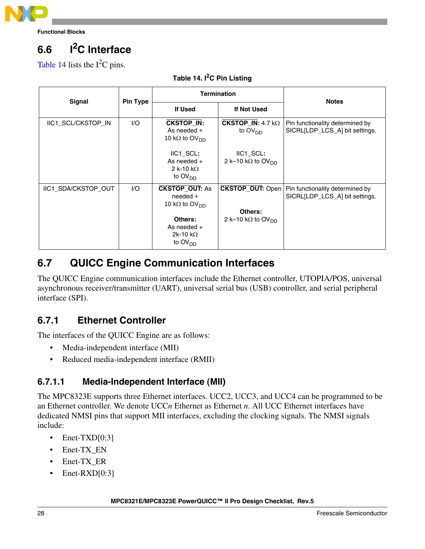

# **6.6 I2C Interface**

<span id="page-26-0"></span>[Table 14](#page-26-0) lists the  $I^2C$  pins.

| <b>Signal</b>             | <b>Pin Type</b> |                                                                            | <b>Termination</b>                                         | <b>Notes</b>                                                                                |
|---------------------------|-----------------|----------------------------------------------------------------------------|------------------------------------------------------------|---------------------------------------------------------------------------------------------|
|                           |                 | If Used                                                                    | If Not Used                                                |                                                                                             |
| <b>IIC1 SCL/CKSTOP IN</b> | $UO$            | <b>CKSTOP IN:</b><br>As needed $+$<br>10 k $\Omega$ to OV <sub>DD</sub>    | CKSTOP IN: $4.7 k\Omega$<br>to $\textsf{OV}_{\textsf{DD}}$ | Pin functionality determined by<br>SICRL[LDP_LCS_A] bit settings.                           |
|                           |                 | IIC1 SCL:<br>As needed $+$<br>2 k-10 k $\Omega$<br>to $OVDD$               | IIC1 SCL:<br>2 k-10 k $\Omega$ to OV <sub>DD</sub>         |                                                                                             |
| IIC1_SDA/CKSTOP_OUT       | 1/O             | <b>CKSTOP_OUT: As</b><br>$need +$<br>10 k $\Omega$ to OV <sub>DD</sub>     |                                                            | <b>CKSTOP_OUT:</b> Open   Pin functionality determined by<br>SICRL[LDP_LCS_A] bit settings. |
|                           |                 | Others:<br>As needed $+$<br>2k-10 k $\Omega$<br>to $\text{OV}_{\text{DD}}$ | Others:<br>2 k-10 kΩ to OV <sub>DD</sub>                   |                                                                                             |

### **Table 14. I2C Pin Listing**

### **6.7 QUICC Engine Communication Interfaces**

The QUICC Engine communication interfaces include the Ethernet controller, UTOPIA/POS, universal asynchronous receiver/transmitter (UART), universal serial bus (USB) controller, and serial peripheral interface (SPI).

### **6.7.1 Ethernet Controller**

The interfaces of the QUICC Engine are as follows:

- Media-independent interface (MII)
- Reduced media-independent interface (RMII)

### **6.7.1.1 Media-Independent Interface (MII)**

The MPC8323E supports three Ethernet interfaces. UCC2, UCC3, and UCC4 can be programmed to be an Ethernet controller. We denote UCC*n* Ethernet as Ethernet *n*. All UCC Ethernet interfaces have dedicated NMSI pins that support MII interfaces, excluding the clocking signals. The NMSI signals include:

- Enet-TXD $[0:3]$
- Enet-TX\_EN
- Enet-TX\_ER
- Enet-RXD[0:3]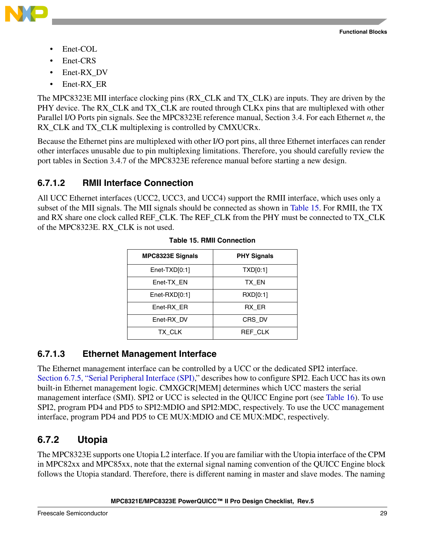

- Enet-COL
- Enet-CRS
- Enet-RX DV
- Enet-RX\_ER

The MPC8323E MII interface clocking pins (RX\_CLK and TX\_CLK) are inputs. They are driven by the PHY device. The RX CLK and TX CLK are routed through CLKx pins that are multiplexed with other Parallel I/O Ports pin signals. See the MPC8323E reference manual, Section 3.4. For each Ethernet *n*, the RX CLK and TX CLK multiplexing is controlled by CMXUCRx.

Because the Ethernet pins are multiplexed with other I/O port pins, all three Ethernet interfaces can render other interfaces unusable due to pin multiplexing limitations. Therefore, you should carefully review the port tables in Section 3.4.7 of the MPC8323E reference manual before starting a new design.

### **6.7.1.2 RMII Interface Connection**

<span id="page-27-0"></span>All UCC Ethernet interfaces (UCC2, UCC3, and UCC4) support the RMII interface, which uses only a subset of the MII signals. The MII signals should be connected as shown in [Table 15.](#page-27-0) For RMII, the TX and RX share one clock called REF\_CLK. The REF\_CLK from the PHY must be connected to TX\_CLK of the MPC8323E. RX\_CLK is not used.

| <b>MPC8323E Signals</b> | <b>PHY Signals</b> |
|-------------------------|--------------------|
| $Enet-TXD[0:1]$         | TXD[0:1]           |
| Enet-TX EN              | TX EN              |
| $Enet-RXD[0:1]$         | RXD[0:1]           |
| Enet-RX ER              | RX ER              |
| Enet-RX DV              | CRS DV             |
| TX CLK                  | REF CLK            |

### **6.7.1.3 Ethernet Management Interface**

The Ethernet management interface can be controlled by a UCC or the dedicated SPI2 interface. [Section 6.7.5, "Serial Peripheral Interface \(SPI\)](#page-30-0)," describes how to configure SPI2. Each UCC has its own built-in Ethernet management logic. CMXGCR[MEM] determines which UCC masters the serial management interface (SMI). SPI2 or UCC is selected in the QUICC Engine port (see [Table 16](#page-28-1)). To use SPI2, program PD4 and PD5 to SPI2:MDIO and SPI2:MDC, respectively. To use the UCC management interface, program PD4 and PD5 to CE MUX:MDIO and CE MUX:MDC, respectively.

### **6.7.2 Utopia**

The MPC8323E supports one Utopia L2 interface. If you are familiar with the Utopia interface of the CPM in MPC82xx and MPC85xx, note that the external signal naming convention of the QUICC Engine block follows the Utopia standard. Therefore, there is different naming in master and slave modes. The naming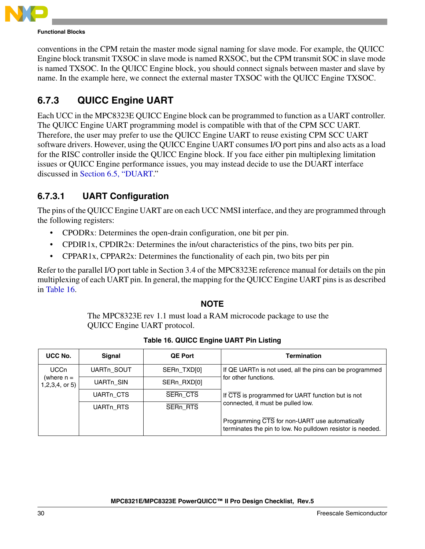

conventions in the CPM retain the master mode signal naming for slave mode. For example, the QUICC Engine block transmit TXSOC in slave mode is named RXSOC, but the CPM transmit SOC in slave mode is named TXSOC. In the QUICC Engine block, you should connect signals between master and slave by name. In the example here, we connect the external master TXSOC with the QUICC Engine TXSOC.

### <span id="page-28-0"></span>**6.7.3 QUICC Engine UART**

Each UCC in the MPC8323E QUICC Engine block can be programmed to function as a UART controller. The QUICC Engine UART programming model is compatible with that of the CPM SCC UART. Therefore, the user may prefer to use the QUICC Engine UART to reuse existing CPM SCC UART software drivers. However, using the QUICC Engine UART consumes I/O port pins and also acts as a load for the RISC controller inside the QUICC Engine block. If you face either pin multiplexing limitation issues or QUICC Engine performance issues, you may instead decide to use the DUART interface discussed in [Section 6.5, "DUART.](#page-24-1)"

### **6.7.3.1 UART Configuration**

The pins of the QUICC Engine UART are on each UCC NMSI interface, and they are programmed through the following registers:

- CPODRx: Determines the open-drain configuration, one bit per pin.
- CPDIR1x, CPDIR2x: Determines the in/out characteristics of the pins, two bits per pin.
- CPPAR1x, CPPAR2x: Determines the functionality of each pin, two bits per pin

Refer to the parallel I/O port table in Section 3.4 of the MPC8323E reference manual for details on the pin multiplexing of each UART pin. In general, the mapping for the QUICC Engine UART pins is as described in [Table 16.](#page-28-1)

### **NOTE**

The MPC8323E rev 1.1 must load a RAM microcode package to use the QUICC Engine UART protocol.

<span id="page-28-1"></span>

| UCC No.          | <b>Signal</b>                          | <b>QE Port</b> | <b>Termination</b>                                                                                           |
|------------------|----------------------------------------|----------------|--------------------------------------------------------------------------------------------------------------|
| <b>UCCn</b>      | <b>UARTn SOUT</b>                      | SERn_TXD[0]    | If QE UARTn is not used, all the pins can be programmed                                                      |
| $1,2,3,4,$ or 5) | (where n =<br>UARTn_SIN<br>SERn_RXD[0] |                | for other functions.                                                                                         |
|                  | UART <sub>n</sub> CTS                  | SERn_CTS       | If CTS is programmed for UART function but is not                                                            |
|                  | UART <sub>n</sub> RTS                  | SERn RTS       | connected, it must be pulled low.                                                                            |
|                  |                                        |                | Programming CTS for non-UART use automatically<br>terminates the pin to low. No pulldown resistor is needed. |

### **Table 16. QUICC Engine UART Pin Listing**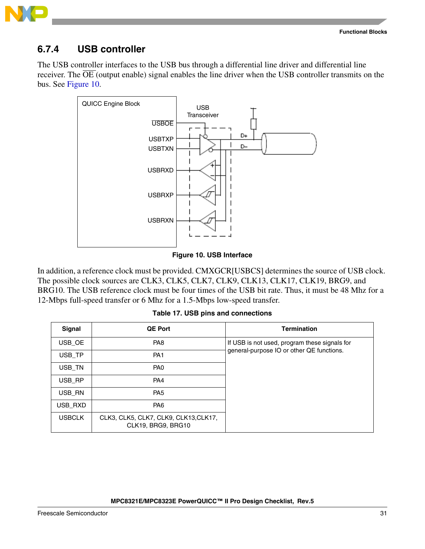

### **6.7.4 USB controller**

The USB controller interfaces to the USB bus through a differential line driver and differential line receiver. The  $\overline{OE}$  (output enable) signal enables the line driver when the USB controller transmits on the bus. See [Figure 10](#page-29-0).



### **Figure 10. USB Interface**

<span id="page-29-0"></span>In addition, a reference clock must be provided. CMXGCR[USBCS] determines the source of USB clock. The possible clock sources are CLK3, CLK5, CLK7, CLK9, CLK13, CLK17, CLK19, BRG9, and BRG10. The USB reference clock must be four times of the USB bit rate. Thus, it must be 48 Mhz for a 12-Mbps full-speed transfer or 6 Mhz for a 1.5-Mbps low-speed transfer.

**Table 17. USB pins and connections**

<span id="page-29-1"></span>

| Signal        | <b>QE Port</b>                                              | <b>Termination</b>                            |
|---------------|-------------------------------------------------------------|-----------------------------------------------|
| USB OE        | PA <sub>8</sub>                                             | If USB is not used, program these signals for |
| USB TP        | PA <sub>1</sub>                                             | general-purpose IO or other QE functions.     |
| USB TN        | PA <sub>0</sub>                                             |                                               |
| USB RP        | PA4                                                         |                                               |
| USB RN        | PA <sub>5</sub>                                             |                                               |
| USB RXD       | PA <sub>6</sub>                                             |                                               |
| <b>USBCLK</b> | CLK3, CLK5, CLK7, CLK9, CLK13, CLK17,<br>CLK19, BRG9, BRG10 |                                               |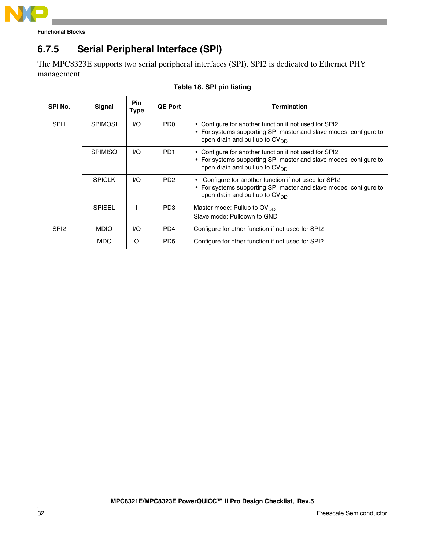

### <span id="page-30-0"></span>**6.7.5 Serial Peripheral Interface (SPI)**

The MPC8323E supports two serial peripheral interfaces (SPI). SPI2 is dedicated to Ethernet PHY management.

| SPI No.          | <b>Signal</b>  | <b>Pin</b><br>Type | <b>QE Port</b>              | <b>Termination</b>                                                                                                                                                |
|------------------|----------------|--------------------|-----------------------------|-------------------------------------------------------------------------------------------------------------------------------------------------------------------|
| SPI <sub>1</sub> | <b>SPIMOSI</b> | 1/O                | PD <sub>0</sub>             | • Configure for another function if not used for SPI2.<br>• For systems supporting SPI master and slave modes, configure to<br>open drain and pull up to $OVDD$ . |
|                  | <b>SPIMISO</b> | 1/O                | PD <sub>1</sub>             | • Configure for another function if not used for SPI2<br>• For systems supporting SPI master and slave modes, configure to<br>open drain and pull up to $OVDD$ .  |
|                  | <b>SPICLK</b>  | 1/O                | P <sub>D</sub> <sub>2</sub> | Configure for another function if not used for SPI2<br>• For systems supporting SPI master and slave modes, configure to<br>open drain and pull up to $OVDD$ .    |
|                  | <b>SPISEL</b>  |                    | PD <sub>3</sub>             | Master mode: Pullup to $OVDD$<br>Slave mode: Pulldown to GND                                                                                                      |
| SPI <sub>2</sub> | <b>MDIO</b>    | 1/O                | P <sub>D</sub> 4            | Configure for other function if not used for SPI2                                                                                                                 |
|                  | <b>MDC</b>     | O                  | PD <sub>5</sub>             | Configure for other function if not used for SPI2                                                                                                                 |

### **Table 18. SPI pin listing**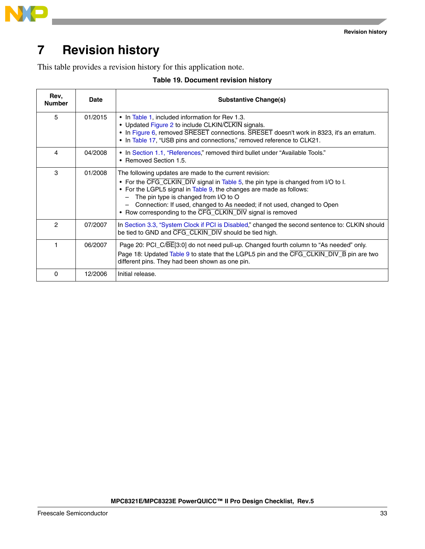



# <span id="page-31-0"></span>**7 Revision history**

This table provides a revision history for this application note.

| Table 19. Document revision history |  |
|-------------------------------------|--|
|-------------------------------------|--|

| Rev,<br><b>Number</b> | Date    | Substantive Change(s)                                                                                                                                                                                                                                                                                                                                                                                 |
|-----------------------|---------|-------------------------------------------------------------------------------------------------------------------------------------------------------------------------------------------------------------------------------------------------------------------------------------------------------------------------------------------------------------------------------------------------------|
| 5                     | 01/2015 | • In Table 1, included information for Rev 1.3.<br>• Updated Figure 2 to include CLKIN/CLKIN signals.<br>• In Figure 6, removed SRESET connections. SRESET doesn't work in 8323, it's an erratum.<br>• In Table 17, "USB pins and connections," removed reference to CLK21.                                                                                                                           |
| 4                     | 04/2008 | • In Section 1.1, "References," removed third bullet under "Available Tools."<br>• Removed Section 1.5.                                                                                                                                                                                                                                                                                               |
| 3                     | 01/2008 | The following updates are made to the current revision:<br>• For the CFG_CLKIN_DIV signal in Table 5, the pin type is changed from I/O to I.<br>• For the LGPL5 signal in Table 9, the changes are made as follows:<br>The pin type is changed from I/O to O<br>Connection: If used, changed to As needed; if not used, changed to Open<br>• Row corresponding to the CFG_CLKIN_DIV signal is removed |
| 2                     | 07/2007 | In Section 3.3, "System Clock if PCI is Disabled," changed the second sentence to: CLKIN should<br>be tied to GND and CFG_CLKIN_DIV should be tied high.                                                                                                                                                                                                                                              |
| 1                     | 06/2007 | Page 20: PCI_C/BE[3:0] do not need pull-up. Changed fourth column to "As needed" only.<br>Page 18: Updated Table 9 to state that the LGPL5 pin and the CFG_CLKIN_DIV_B pin are two<br>different pins. They had been shown as one pin.                                                                                                                                                                 |
| 0                     | 12/2006 | Initial release.                                                                                                                                                                                                                                                                                                                                                                                      |